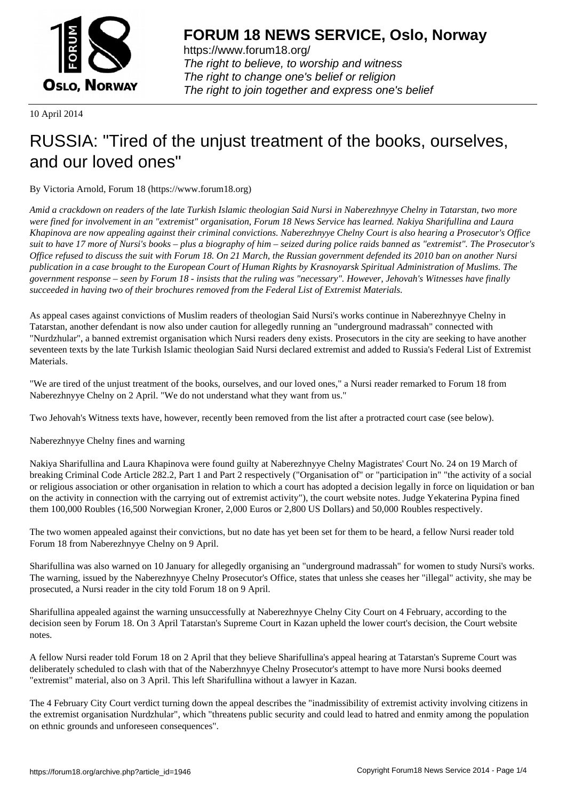

https://www.forum18.org/ The right to believe, to worship and witness The right to change one's belief or religion [The right to join together a](https://www.forum18.org/)nd express one's belief

10 April 2014

## [RUSSIA: "Tired](https://www.forum18.org) of the unjust treatment of the books, ourselves, and our loved ones"

By Victoria Arnold, Forum 18 (https://www.forum18.org)

*Amid a crackdown on readers of the late Turkish Islamic theologian Said Nursi in Naberezhnyye Chelny in Tatarstan, two more were fined for involvement in an "extremist" organisation, Forum 18 News Service has learned. Nakiya Sharifullina and Laura Khapinova are now appealing against their criminal convictions. Naberezhnyye Chelny Court is also hearing a Prosecutor's Office suit to have 17 more of Nursi's books – plus a biography of him – seized during police raids banned as "extremist". The Prosecutor's Office refused to discuss the suit with Forum 18. On 21 March, the Russian government defended its 2010 ban on another Nursi publication in a case brought to the European Court of Human Rights by Krasnoyarsk Spiritual Administration of Muslims. The government response – seen by Forum 18 - insists that the ruling was "necessary". However, Jehovah's Witnesses have finally succeeded in having two of their brochures removed from the Federal List of Extremist Materials.*

As appeal cases against convictions of Muslim readers of theologian Said Nursi's works continue in Naberezhnyye Chelny in Tatarstan, another defendant is now also under caution for allegedly running an "underground madrassah" connected with "Nurdzhular", a banned extremist organisation which Nursi readers deny exists. Prosecutors in the city are seeking to have another seventeen texts by the late Turkish Islamic theologian Said Nursi declared extremist and added to Russia's Federal List of Extremist Materials.

"We are tired of the unjust treatment of the books, ourselves, and our loved ones," a Nursi reader remarked to Forum 18 from Naberezhnyye Chelny on 2 April. "We do not understand what they want from us."

Two Jehovah's Witness texts have, however, recently been removed from the list after a protracted court case (see below).

Naberezhnyye Chelny fines and warning

Nakiya Sharifullina and Laura Khapinova were found guilty at Naberezhnyye Chelny Magistrates' Court No. 24 on 19 March of breaking Criminal Code Article 282.2, Part 1 and Part 2 respectively ("Organisation of" or "participation in" "the activity of a social or religious association or other organisation in relation to which a court has adopted a decision legally in force on liquidation or ban on the activity in connection with the carrying out of extremist activity"), the court website notes. Judge Yekaterina Pypina fined them 100,000 Roubles (16,500 Norwegian Kroner, 2,000 Euros or 2,800 US Dollars) and 50,000 Roubles respectively.

The two women appealed against their convictions, but no date has yet been set for them to be heard, a fellow Nursi reader told Forum 18 from Naberezhnyye Chelny on 9 April.

Sharifullina was also warned on 10 January for allegedly organising an "underground madrassah" for women to study Nursi's works. The warning, issued by the Naberezhnyye Chelny Prosecutor's Office, states that unless she ceases her "illegal" activity, she may be prosecuted, a Nursi reader in the city told Forum 18 on 9 April.

Sharifullina appealed against the warning unsuccessfully at Naberezhnyye Chelny City Court on 4 February, according to the decision seen by Forum 18. On 3 April Tatarstan's Supreme Court in Kazan upheld the lower court's decision, the Court website notes.

A fellow Nursi reader told Forum 18 on 2 April that they believe Sharifullina's appeal hearing at Tatarstan's Supreme Court was deliberately scheduled to clash with that of the Naberzhnyye Chelny Prosecutor's attempt to have more Nursi books deemed "extremist" material, also on 3 April. This left Sharifullina without a lawyer in Kazan.

The 4 February City Court verdict turning down the appeal describes the "inadmissibility of extremist activity involving citizens in the extremist organisation Nurdzhular", which "threatens public security and could lead to hatred and enmity among the population on ethnic grounds and unforeseen consequences".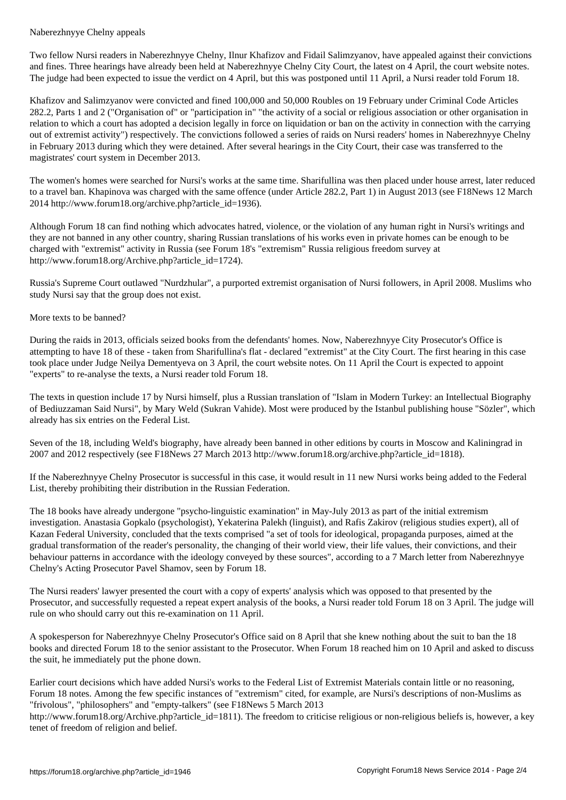Two fellow Nursi readers in Naberezhnyye Chelny, Ilnur Khafizov and Fidail Salimzyanov, have appealed against their convictions and fines. Three hearings have already been held at Naberezhnyye Chelny City Court, the latest on 4 April, the court website notes. The judge had been expected to issue the verdict on 4 April, but this was postponed until 11 April, a Nursi reader told Forum 18.

Khafizov and Salimzyanov were convicted and fined 100,000 and 50,000 Roubles on 19 February under Criminal Code Articles 282.2, Parts 1 and 2 ("Organisation of" or "participation in" "the activity of a social or religious association or other organisation in relation to which a court has adopted a decision legally in force on liquidation or ban on the activity in connection with the carrying out of extremist activity") respectively. The convictions followed a series of raids on Nursi readers' homes in Naberezhnyye Chelny in February 2013 during which they were detained. After several hearings in the City Court, their case was transferred to the magistrates' court system in December 2013.

The women's homes were searched for Nursi's works at the same time. Sharifullina was then placed under house arrest, later reduced to a travel ban. Khapinova was charged with the same offence (under Article 282.2, Part 1) in August 2013 (see F18News 12 March 2014 http://www.forum18.org/archive.php?article\_id=1936).

Although Forum 18 can find nothing which advocates hatred, violence, or the violation of any human right in Nursi's writings and they are not banned in any other country, sharing Russian translations of his works even in private homes can be enough to be charged with "extremist" activity in Russia (see Forum 18's "extremism" Russia religious freedom survey at http://www.forum18.org/Archive.php?article\_id=1724).

Russia's Supreme Court outlawed "Nurdzhular", a purported extremist organisation of Nursi followers, in April 2008. Muslims who study Nursi say that the group does not exist.

## More texts to be banned?

During the raids in 2013, officials seized books from the defendants' homes. Now, Naberezhnyye City Prosecutor's Office is attempting to have 18 of these - taken from Sharifullina's flat - declared "extremist" at the City Court. The first hearing in this case took place under Judge Neilya Dementyeva on 3 April, the court website notes. On 11 April the Court is expected to appoint "experts" to re-analyse the texts, a Nursi reader told Forum 18.

The texts in question include 17 by Nursi himself, plus a Russian translation of "Islam in Modern Turkey: an Intellectual Biography of Bediuzzaman Said Nursi", by Mary Weld (Sukran Vahide). Most were produced by the Istanbul publishing house "Sözler", which already has six entries on the Federal List.

Seven of the 18, including Weld's biography, have already been banned in other editions by courts in Moscow and Kaliningrad in 2007 and 2012 respectively (see F18News 27 March 2013 http://www.forum18.org/archive.php?article\_id=1818).

If the Naberezhnyye Chelny Prosecutor is successful in this case, it would result in 11 new Nursi works being added to the Federal List, thereby prohibiting their distribution in the Russian Federation.

The 18 books have already undergone "psycho-linguistic examination" in May-July 2013 as part of the initial extremism investigation. Anastasia Gopkalo (psychologist), Yekaterina Palekh (linguist), and Rafis Zakirov (religious studies expert), all of Kazan Federal University, concluded that the texts comprised "a set of tools for ideological, propaganda purposes, aimed at the gradual transformation of the reader's personality, the changing of their world view, their life values, their convictions, and their behaviour patterns in accordance with the ideology conveyed by these sources", according to a 7 March letter from Naberezhnyye Chelny's Acting Prosecutor Pavel Shamov, seen by Forum 18.

The Nursi readers' lawyer presented the court with a copy of experts' analysis which was opposed to that presented by the Prosecutor, and successfully requested a repeat expert analysis of the books, a Nursi reader told Forum 18 on 3 April. The judge will rule on who should carry out this re-examination on 11 April.

A spokesperson for Naberezhnyye Chelny Prosecutor's Office said on 8 April that she knew nothing about the suit to ban the 18 books and directed Forum 18 to the senior assistant to the Prosecutor. When Forum 18 reached him on 10 April and asked to discuss the suit, he immediately put the phone down.

Earlier court decisions which have added Nursi's works to the Federal List of Extremist Materials contain little or no reasoning, Forum 18 notes. Among the few specific instances of "extremism" cited, for example, are Nursi's descriptions of non-Muslims as "frivolous", "philosophers" and "empty-talkers" (see F18News 5 March 2013

http://www.forum18.org/Archive.php?article\_id=1811). The freedom to criticise religious or non-religious beliefs is, however, a key tenet of freedom of religion and belief.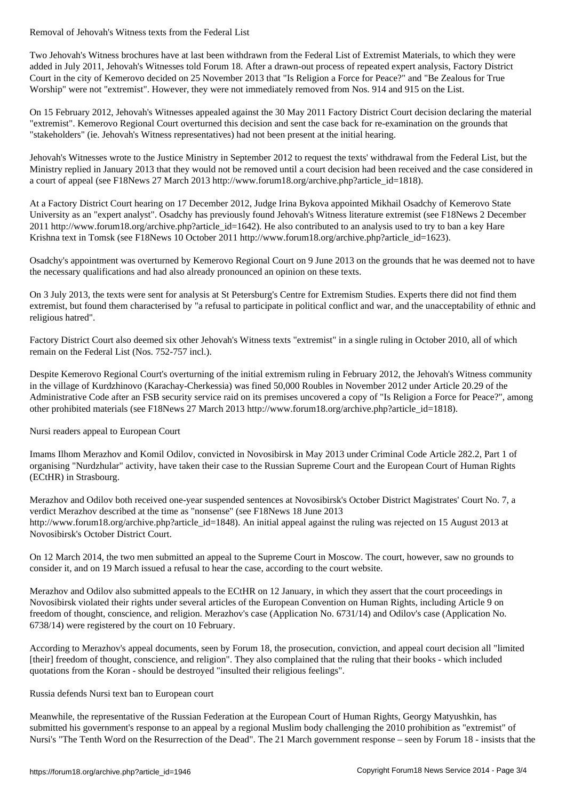Two Jehovah's Witness brochures have at last been withdrawn from the Federal List of Extremist Materials, to which they were added in July 2011, Jehovah's Witnesses told Forum 18. After a drawn-out process of repeated expert analysis, Factory District Court in the city of Kemerovo decided on 25 November 2013 that "Is Religion a Force for Peace?" and "Be Zealous for True Worship" were not "extremist". However, they were not immediately removed from Nos. 914 and 915 on the List.

On 15 February 2012, Jehovah's Witnesses appealed against the 30 May 2011 Factory District Court decision declaring the material "extremist". Kemerovo Regional Court overturned this decision and sent the case back for re-examination on the grounds that "stakeholders" (ie. Jehovah's Witness representatives) had not been present at the initial hearing.

Jehovah's Witnesses wrote to the Justice Ministry in September 2012 to request the texts' withdrawal from the Federal List, but the Ministry replied in January 2013 that they would not be removed until a court decision had been received and the case considered in a court of appeal (see F18News 27 March 2013 http://www.forum18.org/archive.php?article\_id=1818).

At a Factory District Court hearing on 17 December 2012, Judge Irina Bykova appointed Mikhail Osadchy of Kemerovo State University as an "expert analyst". Osadchy has previously found Jehovah's Witness literature extremist (see F18News 2 December 2011 http://www.forum18.org/archive.php?article\_id=1642). He also contributed to an analysis used to try to ban a key Hare Krishna text in Tomsk (see F18News 10 October 2011 http://www.forum18.org/archive.php?article\_id=1623).

Osadchy's appointment was overturned by Kemerovo Regional Court on 9 June 2013 on the grounds that he was deemed not to have the necessary qualifications and had also already pronounced an opinion on these texts.

On 3 July 2013, the texts were sent for analysis at St Petersburg's Centre for Extremism Studies. Experts there did not find them extremist, but found them characterised by "a refusal to participate in political conflict and war, and the unacceptability of ethnic and religious hatred".

Factory District Court also deemed six other Jehovah's Witness texts "extremist" in a single ruling in October 2010, all of which remain on the Federal List (Nos. 752-757 incl.).

Despite Kemerovo Regional Court's overturning of the initial extremism ruling in February 2012, the Jehovah's Witness community in the village of Kurdzhinovo (Karachay-Cherkessia) was fined 50,000 Roubles in November 2012 under Article 20.29 of the Administrative Code after an FSB security service raid on its premises uncovered a copy of "Is Religion a Force for Peace?", among other prohibited materials (see F18News 27 March 2013 http://www.forum18.org/archive.php?article\_id=1818).

Nursi readers appeal to European Court

Imams Ilhom Merazhov and Komil Odilov, convicted in Novosibirsk in May 2013 under Criminal Code Article 282.2, Part 1 of organising "Nurdzhular" activity, have taken their case to the Russian Supreme Court and the European Court of Human Rights (ECtHR) in Strasbourg.

Merazhov and Odilov both received one-year suspended sentences at Novosibirsk's October District Magistrates' Court No. 7, a verdict Merazhov described at the time as "nonsense" (see F18News 18 June 2013 http://www.forum18.org/archive.php?article\_id=1848). An initial appeal against the ruling was rejected on 15 August 2013 at Novosibirsk's October District Court.

On 12 March 2014, the two men submitted an appeal to the Supreme Court in Moscow. The court, however, saw no grounds to consider it, and on 19 March issued a refusal to hear the case, according to the court website.

Merazhov and Odilov also submitted appeals to the ECtHR on 12 January, in which they assert that the court proceedings in Novosibirsk violated their rights under several articles of the European Convention on Human Rights, including Article 9 on freedom of thought, conscience, and religion. Merazhov's case (Application No. 6731/14) and Odilov's case (Application No. 6738/14) were registered by the court on 10 February.

According to Merazhov's appeal documents, seen by Forum 18, the prosecution, conviction, and appeal court decision all "limited [their] freedom of thought, conscience, and religion". They also complained that the ruling that their books - which included quotations from the Koran - should be destroyed "insulted their religious feelings".

## Russia defends Nursi text ban to European court

Meanwhile, the representative of the Russian Federation at the European Court of Human Rights, Georgy Matyushkin, has submitted his government's response to an appeal by a regional Muslim body challenging the 2010 prohibition as "extremist" of Nursi's "The Tenth Word on the Resurrection of the Dead". The 21 March government response – seen by Forum 18 - insists that the